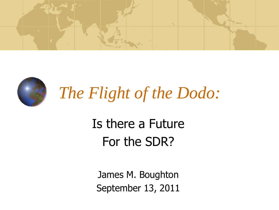



*The Flight of the Dodo:*

### Is there a Future For the SDR?

James M. Boughton September 13, 2011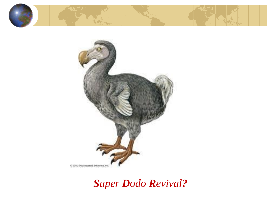



#### *Super Dodo Revival?*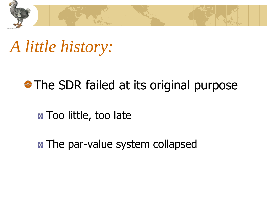

### *A little history:*

#### The SDR failed at its original purpose

**E** Too little, too late

**E** The par-value system collapsed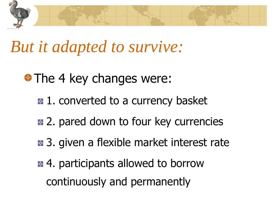

### *But it adapted to survive:*

- **♦ The 4 key changes were:** 
	- $\bullet$  **1. converted to a currency basket**
	- **E.** 2. pared down to four key currencies
	- **B** 3. given a flexible market interest rate
	- $\bullet$  **4. participants allowed to borrow** continuously and permanently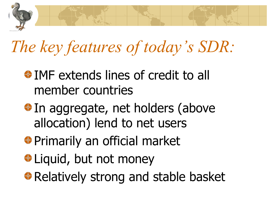

# *The key features of today's SDR:*

- **IMF** extends lines of credit to all member countries
- $\bigoplus$  **In aggregate, net holders (above** allocation) lend to net users
- **◆ Primarily an official market**
- **↓Liquid, but not money**
- **◆ Relatively strong and stable basket**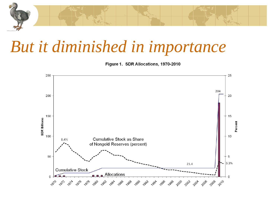

### *But it diminished in importance*

Figure 1. SDR Allocations, 1970-2010

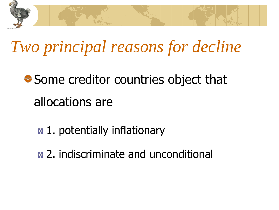

## *Two principal reasons for decline*

### **♦ Some creditor countries object that** allocations are

- **2.** 1. potentially inflationary
- **E.** 2. indiscriminate and unconditional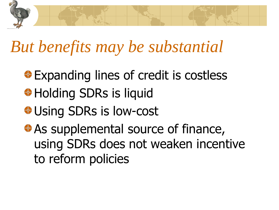

## *But benefits may be substantial*

- **Expanding lines of credit is costless**
- **<sup>◆</sup> Holding SDRs is liquid**
- **<sup>◆</sup> Using SDRs is low-cost**
- **↑ As supplemental source of finance,** using SDRs does not weaken incentive to reform policies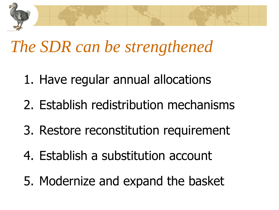

### *The SDR can be strengthened*

- 1. Have regular annual allocations
- 2. Establish redistribution mechanisms
- 3. Restore reconstitution requirement
- 4. Establish a substitution account
- 5. Modernize and expand the basket